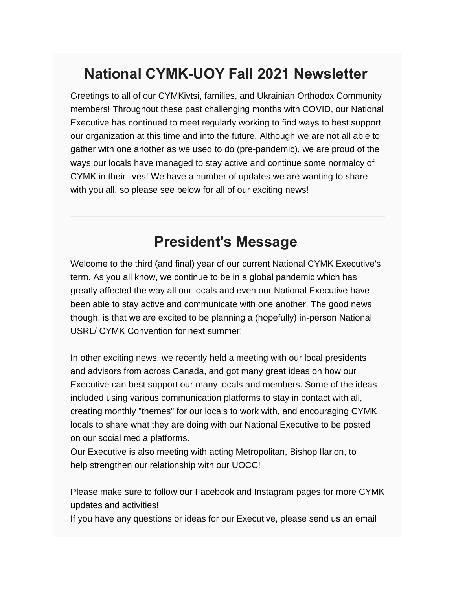## **National CYMK-UOY Fall 2021 Newsletter**

Greetings to all of our CYMKivtsi, families, and Ukrainian Orthodox Community members! Throughout these past challenging months with COVID, our National Executive has continued to meet regularly working to find ways to best support our organization at this time and into the future. Although we are not all able to gather with one another as we used to do (pre-pandemic), we are proud of the ways our locals have managed to stay active and continue some normalcy of CYMK in their lives! We have a number of updates we are wanting to share with you all, so please see below for all of our exciting news!

#### **President's Message**

Welcome to the third (and final) year of our current National CYMK Executive's term. As you all know, we continue to be in a global pandemic which has greatly affected the way all our locals and even our National Executive have been able to stay active and communicate with one another. The good news though, is that we are excited to be planning a (hopefully) in-person National USRL/ CYMK Convention for next summer!

In other exciting news, we recently held a meeting with our local presidents and advisors from across Canada, and got many great ideas on how our Executive can best support our many locals and members. Some of the ideas included using various communication platforms to stay in contact with all, creating monthly "themes" for our locals to work with, and encouraging CYMK locals to share what they are doing with our National Executive to be posted on our social media platforms.

Our Executive is also meeting with acting Metropolitan, Bishop Ilarion, to help strengthen our relationship with our UOCC!

Please make sure to follow our Facebook and Instagram pages for more CYMK updates and activities!

If you have any questions or ideas for our Executive, please send us an email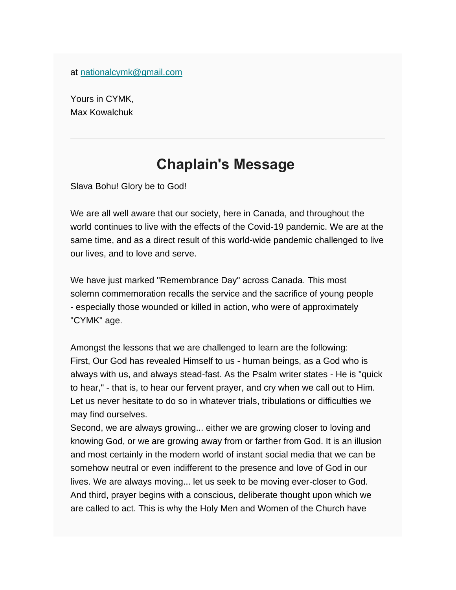at [nationalcymk@gmail.com](mailto:nationalcymk@gmail.com)

Yours in CYMK, Max Kowalchuk

### **Chaplain's Message**

Slava Bohu! Glory be to God!

We are all well aware that our society, here in Canada, and throughout the world continues to live with the effects of the Covid-19 pandemic. We are at the same time, and as a direct result of this world-wide pandemic challenged to live our lives, and to love and serve.

We have just marked "Remembrance Day" across Canada. This most solemn commemoration recalls the service and the sacrifice of young people - especially those wounded or killed in action, who were of approximately "CYMK" age.

Amongst the lessons that we are challenged to learn are the following: First, Our God has revealed Himself to us - human beings, as a God who is always with us, and always stead-fast. As the Psalm writer states - He is "quick to hear," - that is, to hear our fervent prayer, and cry when we call out to Him. Let us never hesitate to do so in whatever trials, tribulations or difficulties we may find ourselves.

Second, we are always growing... either we are growing closer to loving and knowing God, or we are growing away from or farther from God. It is an illusion and most certainly in the modern world of instant social media that we can be somehow neutral or even indifferent to the presence and love of God in our lives. We are always moving... let us seek to be moving ever-closer to God. And third, prayer begins with a conscious, deliberate thought upon which we are called to act. This is why the Holy Men and Women of the Church have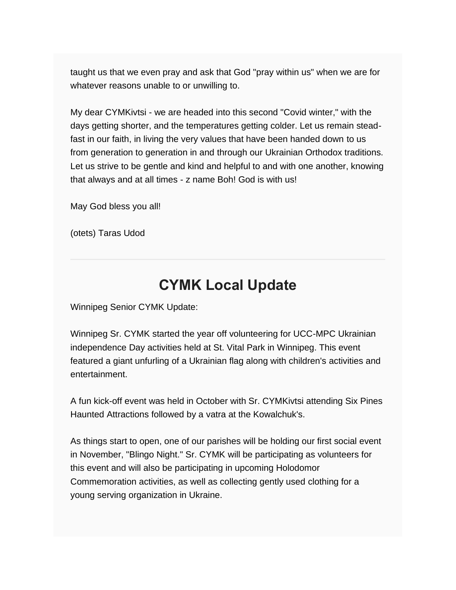taught us that we even pray and ask that God "pray within us" when we are for whatever reasons unable to or unwilling to.

My dear CYMKivtsi - we are headed into this second "Covid winter," with the days getting shorter, and the temperatures getting colder. Let us remain steadfast in our faith, in living the very values that have been handed down to us from generation to generation in and through our Ukrainian Orthodox traditions. Let us strive to be gentle and kind and helpful to and with one another, knowing that always and at all times - z name Boh! God is with us!

May God bless you all!

(otets) Taras Udod

#### **CYMK Local Update**

Winnipeg Senior CYMK Update:

Winnipeg Sr. CYMK started the year off volunteering for UCC-MPC Ukrainian independence Day activities held at St. Vital Park in Winnipeg. This event featured a giant unfurling of a Ukrainian flag along with children's activities and entertainment.

A fun kick-off event was held in October with Sr. CYMKivtsi attending Six Pines Haunted Attractions followed by a vatra at the Kowalchuk's.

As things start to open, one of our parishes will be holding our first social event in November, "Blingo Night." Sr. CYMK will be participating as volunteers for this event and will also be participating in upcoming Holodomor Commemoration activities, as well as collecting gently used clothing for a young serving organization in Ukraine.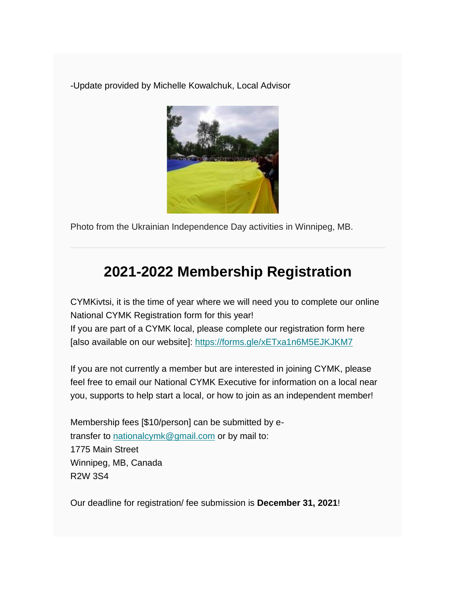-Update provided by Michelle Kowalchuk, Local Advisor



Photo from the Ukrainian Independence Day activities in Winnipeg, MB.

## **2021-2022 Membership Registration**

CYMKivtsi, it is the time of year where we will need you to complete our online National CYMK Registration form for this year! If you are part of a CYMK local, please complete our registration form here [also available on our website]: [https://forms.gle/xETxa1n6M5EJKJKM7](https://cymk.us14.list-manage.com/track/click?u=54672e771288e0ae3e3df41f5&id=da5b6fdccf&e=513de20396)

If you are not currently a member but are interested in joining CYMK, please feel free to email our National CYMK Executive for information on a local near you, supports to help start a local, or how to join as an independent member!

Membership fees [\$10/person] can be submitted by etransfer to [nationalcymk@gmail.com](mailto:nationalcymk@gmail.com) or by mail to: 1775 Main Street Winnipeg, MB, Canada R2W 3S4

Our deadline for registration/ fee submission is **December 31, 2021**!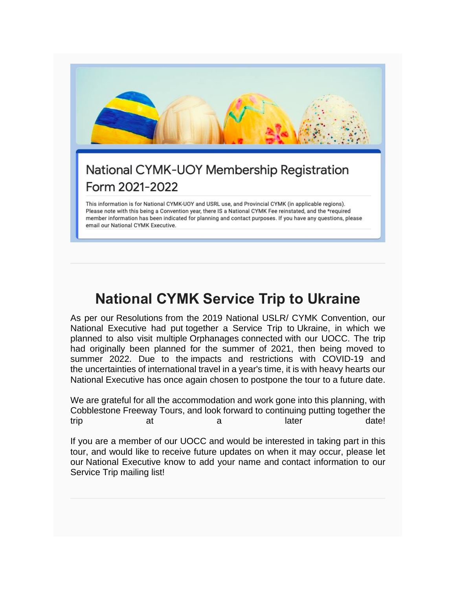

# **National CYMK Service Trip to Ukraine**

As per our Resolutions from the 2019 National USLR/ CYMK Convention, our National Executive had put together a Service Trip to Ukraine, in which we planned to also visit multiple Orphanages connected with our UOCC. The trip had originally been planned for the summer of 2021, then being moved to summer 2022. Due to the impacts and restrictions with COVID-19 and the uncertainties of international travel in a year's time, it is with heavy hearts our National Executive has once again chosen to postpone the tour to a future date.

We are grateful for all the accommodation and work gone into this planning, with Cobblestone Freeway Tours, and look forward to continuing putting together the trip at a later date!

If you are a member of our UOCC and would be interested in taking part in this tour, and would like to receive future updates on when it may occur, please let our National Executive know to add your name and contact information to our Service Trip mailing list!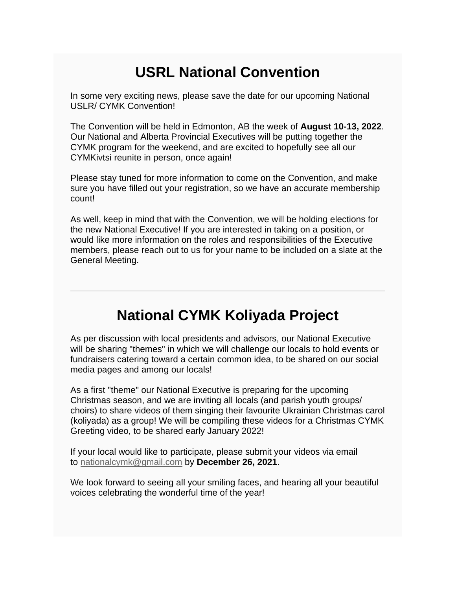## **USRL National Convention**

In some very exciting news, please save the date for our upcoming National USLR/ CYMK Convention!

The Convention will be held in Edmonton, AB the week of **August 10-13, 2022**. Our National and Alberta Provincial Executives will be putting together the CYMK program for the weekend, and are excited to hopefully see all our CYMKivtsi reunite in person, once again!

Please stay tuned for more information to come on the Convention, and make sure you have filled out your registration, so we have an accurate membership count!

As well, keep in mind that with the Convention, we will be holding elections for the new National Executive! If you are interested in taking on a position, or would like more information on the roles and responsibilities of the Executive members, please reach out to us for your name to be included on a slate at the General Meeting.

### **National CYMK Koliyada Project**

As per discussion with local presidents and advisors, our National Executive will be sharing "themes" in which we will challenge our locals to hold events or fundraisers catering toward a certain common idea, to be shared on our social media pages and among our locals!

As a first "theme" our National Executive is preparing for the upcoming Christmas season, and we are inviting all locals (and parish youth groups/ choirs) to share videos of them singing their favourite Ukrainian Christmas carol (koliyada) as a group! We will be compiling these videos for a Christmas CYMK Greeting video, to be shared early January 2022!

If your local would like to participate, please submit your videos via email to [nationalcymk@gmail.com](mailto:nationalcymk@gmail.com) by **December 26, 2021**.

We look forward to seeing all your smiling faces, and hearing all your beautiful voices celebrating the wonderful time of the year!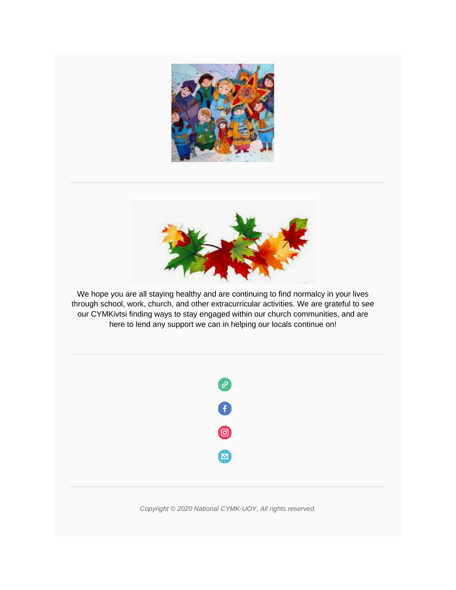



We hope you are all staying healthy and are continuing to find normalcy in your lives through school, work, church, and other extracurricular activities. We are grateful to see our CYMKivtsi finding ways to stay engaged within our church communities, and are here to lend any support we can in helping our locals continue on!



*Copyright © 2020 National CYMK-UOY, All rights reserved.*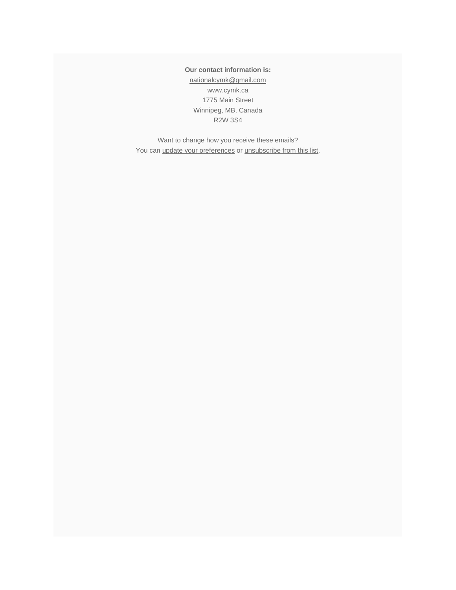**Our contact information is:** [nationalcymk@gmail.com](mailto:nationalcymk@gmail.com) www.cymk.ca 1775 Main Street Winnipeg, MB, Canada R2W 3S4

Want to change how you receive these emails? You can [update your preferences](https://cymk.us14.list-manage.com/profile?u=54672e771288e0ae3e3df41f5&id=69afa7d645&e=513de20396&c=627d5c8d4f) or [unsubscribe from this list.](https://cymk.us14.list-manage.com/unsubscribe?u=54672e771288e0ae3e3df41f5&id=69afa7d645&e=513de20396&c=627d5c8d4f)